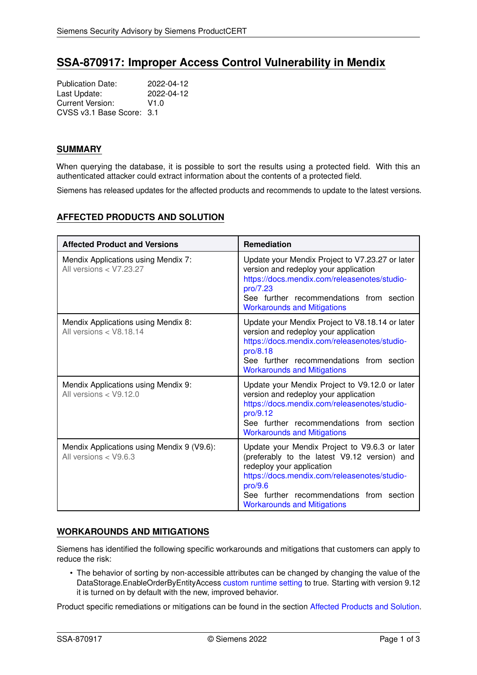# **SSA-870917: Improper Access Control Vulnerability in Mendix**

Publication Date: 2022-04-12<br>
Last Update: 2022-04-12 Last Update: Current Version: V1.0 CVSS v3.1 Base Score: 3.1

## **SUMMARY**

When querying the database, it is possible to sort the results using a protected field. With this an authenticated attacker could extract information about the contents of a protected field.

<span id="page-0-1"></span>Siemens has released updates for the affected products and recommends to update to the latest versions.

# **AFFECTED PRODUCTS AND SOLUTION**

| <b>Affected Product and Versions</b>                                  | <b>Remediation</b>                                                                                                                                                                                                                                                      |
|-----------------------------------------------------------------------|-------------------------------------------------------------------------------------------------------------------------------------------------------------------------------------------------------------------------------------------------------------------------|
| Mendix Applications using Mendix 7:<br>All versions < V7.23.27        | Update your Mendix Project to V7.23.27 or later<br>version and redeploy your application<br>https://docs.mendix.com/releasenotes/studio-<br>pro/7.23<br>See further recommendations from section<br><b>Workarounds and Mitigations</b>                                  |
| Mendix Applications using Mendix 8:<br>All versions $<$ V8.18.14      | Update your Mendix Project to V8.18.14 or later<br>version and redeploy your application<br>https://docs.mendix.com/releasenotes/studio-<br>pro/8.18<br>See further recommendations from section<br><b>Workarounds and Mitigations</b>                                  |
| Mendix Applications using Mendix 9:<br>All versions $<$ V9.12.0       | Update your Mendix Project to V9.12.0 or later<br>version and redeploy your application<br>https://docs.mendix.com/releasenotes/studio-<br>pro/9.12<br>See further recommendations from section<br><b>Workarounds and Mitigations</b>                                   |
| Mendix Applications using Mendix 9 (V9.6):<br>All versions $<$ V9.6.3 | Update your Mendix Project to V9.6.3 or later<br>(preferably to the latest V9.12 version) and<br>redeploy your application<br>https://docs.mendix.com/releasenotes/studio-<br>pro/9.6<br>See further recommendations from section<br><b>Workarounds and Mitigations</b> |

## <span id="page-0-0"></span>**WORKAROUNDS AND MITIGATIONS**

Siemens has identified the following specific workarounds and mitigations that customers can apply to reduce the risk:

• The behavior of sorting by non-accessible attributes can be changed by changing the value of the DataStorage.EnableOrderByEntityAccess [custom runtime setting](https://docs.mendix.com/refguide7/custom-settings) to true. Starting with version 9.12 it is turned on by default with the new, improved behavior.

Product specific remediations or mitigations can be found in the section [Affected Products and Solution.](#page-0-1)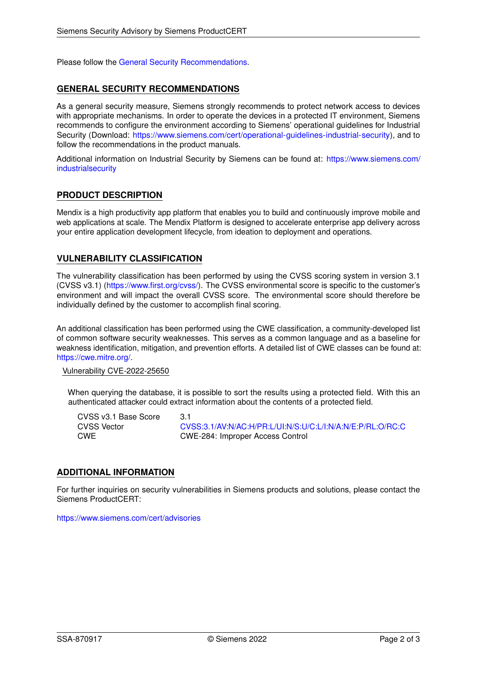<span id="page-1-0"></span>Please follow the [General Security Recommendations.](#page-1-0)

## **GENERAL SECURITY RECOMMENDATIONS**

As a general security measure, Siemens strongly recommends to protect network access to devices with appropriate mechanisms. In order to operate the devices in a protected IT environment, Siemens recommends to configure the environment according to Siemens' operational guidelines for Industrial Security (Download: [https://www.siemens.com/cert/operational-guidelines-industrial-security\)](https://www.siemens.com/cert/operational-guidelines-industrial-security), and to follow the recommendations in the product manuals.

Additional information on Industrial Security by Siemens can be found at: [https://www.siemens.com/](https://www.siemens.com/industrialsecurity) [industrialsecurity](https://www.siemens.com/industrialsecurity)

## **PRODUCT DESCRIPTION**

Mendix is a high productivity app platform that enables you to build and continuously improve mobile and web applications at scale. The Mendix Platform is designed to accelerate enterprise app delivery across your entire application development lifecycle, from ideation to deployment and operations.

#### **VULNERABILITY CLASSIFICATION**

The vulnerability classification has been performed by using the CVSS scoring system in version 3.1 (CVSS v3.1) [\(https://www.first.org/cvss/\)](https://www.first.org/cvss/). The CVSS environmental score is specific to the customer's environment and will impact the overall CVSS score. The environmental score should therefore be individually defined by the customer to accomplish final scoring.

An additional classification has been performed using the CWE classification, a community-developed list of common software security weaknesses. This serves as a common language and as a baseline for weakness identification, mitigation, and prevention efforts. A detailed list of CWE classes can be found at: [https://cwe.mitre.org/.](https://cwe.mitre.org/)

Vulnerability CVE-2022-25650

When querying the database, it is possible to sort the results using a protected field. With this an authenticated attacker could extract information about the contents of a protected field.

CVSS v3.1 Base Score 3.1<br>CVSS Vector 6.0 CVSS Vector [CVSS:3.1/AV:N/AC:H/PR:L/UI:N/S:U/C:L/I:N/A:N/E:P/RL:O/RC:C](https://www.first.org/cvss/calculator/3.1#CVSS:3.1/AV:N/AC:H/PR:L/UI:N/S:U/C:L/I:N/A:N/E:P/RL:O/RC:C)<br>CWE CWE-284: Improper Access Control CWE CWE-284: Improper Access Control

#### **ADDITIONAL INFORMATION**

For further inquiries on security vulnerabilities in Siemens products and solutions, please contact the Siemens ProductCERT:

<https://www.siemens.com/cert/advisories>